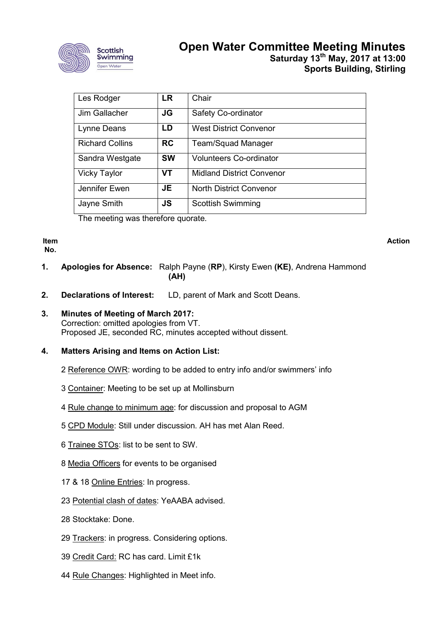

# **Open Water Committee Meeting Minutes Saturday 13th May, 2017 at 13:00 Sports Building, Stirling**

| Les Rodger             | LR        | Chair                            |
|------------------------|-----------|----------------------------------|
| Jim Gallacher          | JG        | Safety Co-ordinator              |
| Lynne Deans            | LD        | <b>West District Convenor</b>    |
| <b>Richard Collins</b> | <b>RC</b> | <b>Team/Squad Manager</b>        |
| Sandra Westgate        | <b>SW</b> | <b>Volunteers Co-ordinator</b>   |
| <b>Vicky Taylor</b>    | VT        | <b>Midland District Convenor</b> |
| Jennifer Ewen          | JE        | <b>North District Convenor</b>   |
| Jayne Smith            | <b>JS</b> | <b>Scottish Swimming</b>         |

The meeting was therefore quorate.

**Item No.**

**Action**

- **1. Apologies for Absence:** Ralph Payne (**RP**), Kirsty Ewen **(KE)**, Andrena Hammond **(AH)**
- **2. Declarations of Interest:** LD, parent of Mark and Scott Deans.
- **3. Minutes of Meeting of March 2017:** Correction: omitted apologies from VT. Proposed JE, seconded RC, minutes accepted without dissent.

#### **4. Matters Arising and Items on Action List:**

- 2 Reference OWR: wording to be added to entry info and/or swimmers' info
- 3 Container: Meeting to be set up at Mollinsburn
- 4 Rule change to minimum age: for discussion and proposal to AGM
- 5 CPD Module: Still under discussion. AH has met Alan Reed.
- 6 Trainee STOs: list to be sent to SW.
- 8 Media Officers for events to be organised
- 17 & 18 Online Entries: In progress.
- 23 Potential clash of dates: YeAABA advised.
- 28 Stocktake: Done.
- 29 Trackers: in progress. Considering options.
- 39 Credit Card: RC has card. Limit £1k
- 44 Rule Changes: Highlighted in Meet info.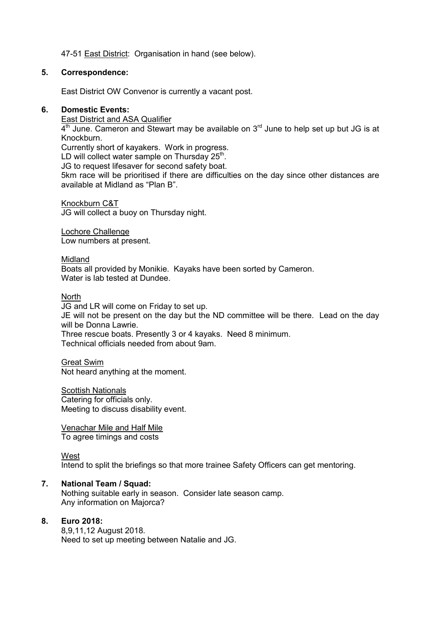47-51 East District: Organisation in hand (see below).

#### **5. Correspondence:**

East District OW Convenor is currently a vacant post.

#### **6. Domestic Events:**

East District and ASA Qualifier  $4<sup>th</sup>$  June. Cameron and Stewart may be available on  $3<sup>rd</sup>$  June to help set up but JG is at Knockburn. Currently short of kayakers. Work in progress. LD will collect water sample on Thursday  $25<sup>th</sup>$ . JG to request lifesaver for second safety boat. 5km race will be prioritised if there are difficulties on the day since other distances are

Knockburn C&T JG will collect a buoy on Thursday night.

available at Midland as "Plan B".

Lochore Challenge Low numbers at present.

Midland Boats all provided by Monikie. Kayaks have been sorted by Cameron. Water is lab tested at Dundee.

**North** 

JG and LR will come on Friday to set up. JE will not be present on the day but the ND committee will be there. Lead on the day

will be Donna Lawrie.

Three rescue boats. Presently 3 or 4 kayaks. Need 8 minimum. Technical officials needed from about 9am.

Great Swim Not heard anything at the moment.

Scottish Nationals Catering for officials only. Meeting to discuss disability event.

Venachar Mile and Half Mile To agree timings and costs

West

Intend to split the briefings so that more trainee Safety Officers can get mentoring.

#### **7. National Team / Squad:**

Nothing suitable early in season. Consider late season camp. Any information on Majorca?

#### **8. Euro 2018:**

8,9,11,12 August 2018. Need to set up meeting between Natalie and JG.